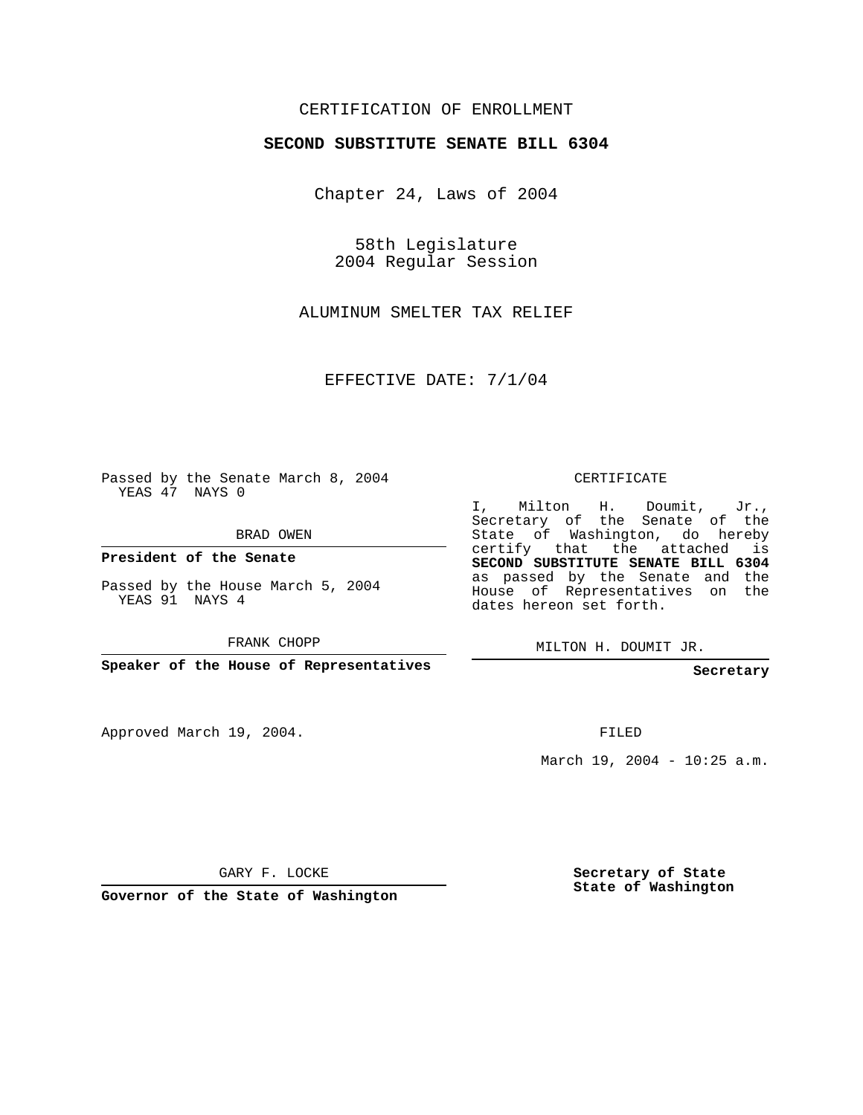## CERTIFICATION OF ENROLLMENT

## **SECOND SUBSTITUTE SENATE BILL 6304**

Chapter 24, Laws of 2004

58th Legislature 2004 Regular Session

ALUMINUM SMELTER TAX RELIEF

EFFECTIVE DATE: 7/1/04

Passed by the Senate March 8, 2004 YEAS 47 NAYS 0

BRAD OWEN

**President of the Senate**

Passed by the House March 5, 2004 YEAS 91 NAYS 4

FRANK CHOPP

**Speaker of the House of Representatives**

Approved March 19, 2004.

CERTIFICATE

I, Milton H. Doumit, Jr., Secretary of the Senate of the State of Washington, do hereby certify that the attached is **SECOND SUBSTITUTE SENATE BILL 6304** as passed by the Senate and the House of Representatives on the dates hereon set forth.

MILTON H. DOUMIT JR.

**Secretary**

FILED

March 19, 2004 - 10:25 a.m.

GARY F. LOCKE

**Governor of the State of Washington**

**Secretary of State State of Washington**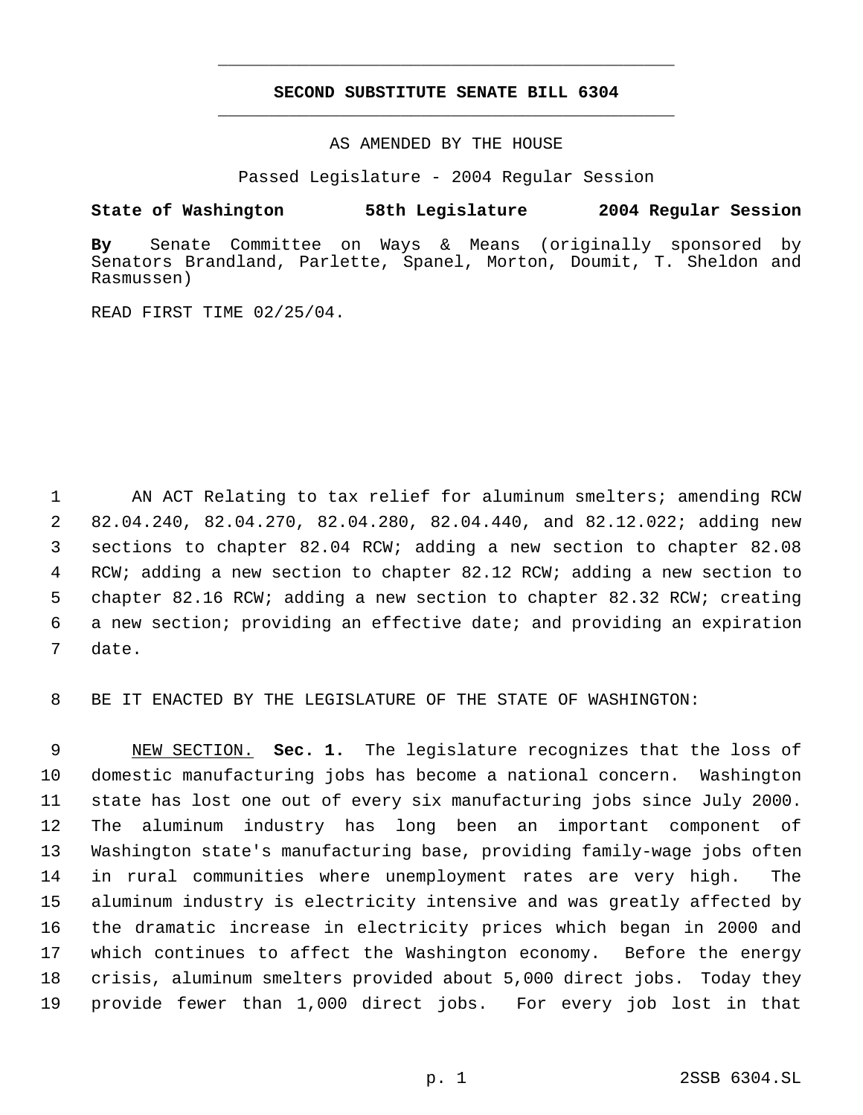## **SECOND SUBSTITUTE SENATE BILL 6304** \_\_\_\_\_\_\_\_\_\_\_\_\_\_\_\_\_\_\_\_\_\_\_\_\_\_\_\_\_\_\_\_\_\_\_\_\_\_\_\_\_\_\_\_\_

\_\_\_\_\_\_\_\_\_\_\_\_\_\_\_\_\_\_\_\_\_\_\_\_\_\_\_\_\_\_\_\_\_\_\_\_\_\_\_\_\_\_\_\_\_

AS AMENDED BY THE HOUSE

Passed Legislature - 2004 Regular Session

## **State of Washington 58th Legislature 2004 Regular Session**

**By** Senate Committee on Ways & Means (originally sponsored by Senators Brandland, Parlette, Spanel, Morton, Doumit, T. Sheldon and Rasmussen)

READ FIRST TIME 02/25/04.

 AN ACT Relating to tax relief for aluminum smelters; amending RCW 82.04.240, 82.04.270, 82.04.280, 82.04.440, and 82.12.022; adding new sections to chapter 82.04 RCW; adding a new section to chapter 82.08 RCW; adding a new section to chapter 82.12 RCW; adding a new section to chapter 82.16 RCW; adding a new section to chapter 82.32 RCW; creating a new section; providing an effective date; and providing an expiration date.

BE IT ENACTED BY THE LEGISLATURE OF THE STATE OF WASHINGTON:

 NEW SECTION. **Sec. 1.** The legislature recognizes that the loss of domestic manufacturing jobs has become a national concern. Washington state has lost one out of every six manufacturing jobs since July 2000. The aluminum industry has long been an important component of Washington state's manufacturing base, providing family-wage jobs often in rural communities where unemployment rates are very high. The aluminum industry is electricity intensive and was greatly affected by the dramatic increase in electricity prices which began in 2000 and which continues to affect the Washington economy. Before the energy crisis, aluminum smelters provided about 5,000 direct jobs. Today they provide fewer than 1,000 direct jobs. For every job lost in that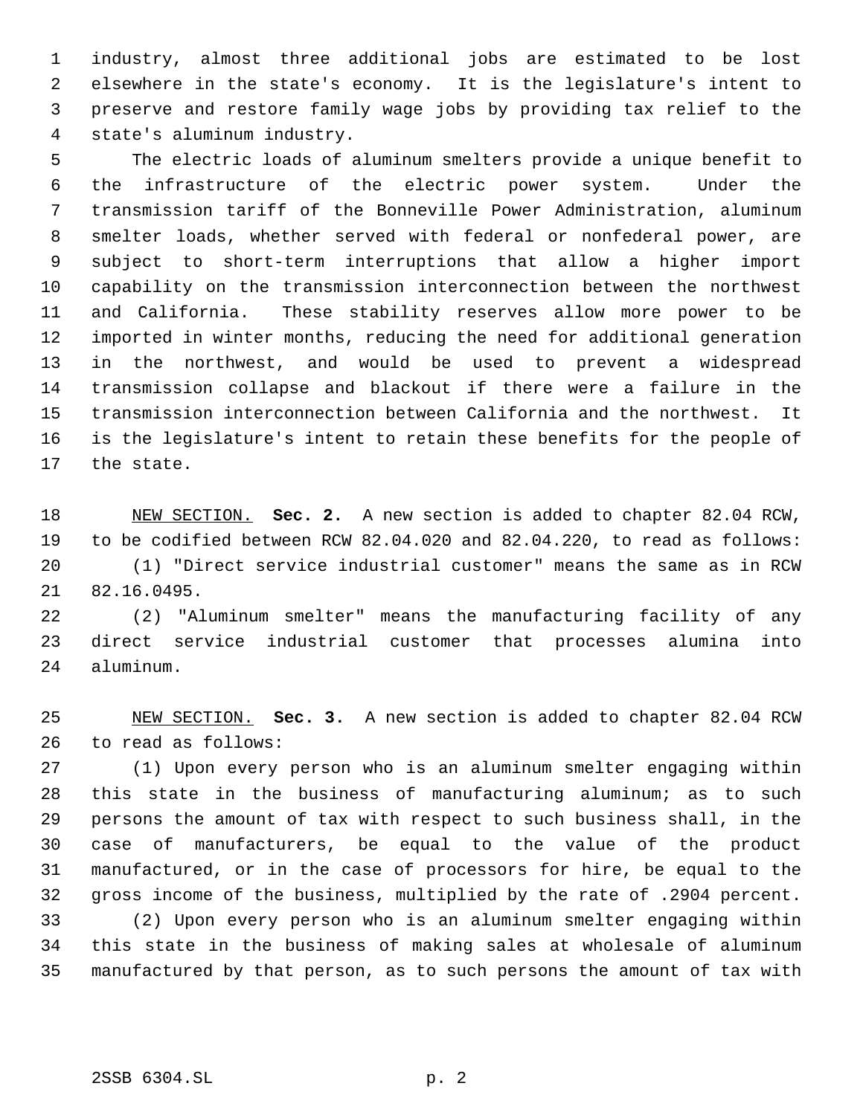industry, almost three additional jobs are estimated to be lost elsewhere in the state's economy. It is the legislature's intent to preserve and restore family wage jobs by providing tax relief to the state's aluminum industry.

 The electric loads of aluminum smelters provide a unique benefit to the infrastructure of the electric power system. Under the transmission tariff of the Bonneville Power Administration, aluminum smelter loads, whether served with federal or nonfederal power, are subject to short-term interruptions that allow a higher import capability on the transmission interconnection between the northwest and California. These stability reserves allow more power to be imported in winter months, reducing the need for additional generation in the northwest, and would be used to prevent a widespread transmission collapse and blackout if there were a failure in the transmission interconnection between California and the northwest. It is the legislature's intent to retain these benefits for the people of the state.

 NEW SECTION. **Sec. 2.** A new section is added to chapter 82.04 RCW, to be codified between RCW 82.04.020 and 82.04.220, to read as follows: (1) "Direct service industrial customer" means the same as in RCW 82.16.0495.

 (2) "Aluminum smelter" means the manufacturing facility of any direct service industrial customer that processes alumina into aluminum.

 NEW SECTION. **Sec. 3.** A new section is added to chapter 82.04 RCW to read as follows:

 (1) Upon every person who is an aluminum smelter engaging within this state in the business of manufacturing aluminum; as to such persons the amount of tax with respect to such business shall, in the case of manufacturers, be equal to the value of the product manufactured, or in the case of processors for hire, be equal to the gross income of the business, multiplied by the rate of .2904 percent. (2) Upon every person who is an aluminum smelter engaging within this state in the business of making sales at wholesale of aluminum manufactured by that person, as to such persons the amount of tax with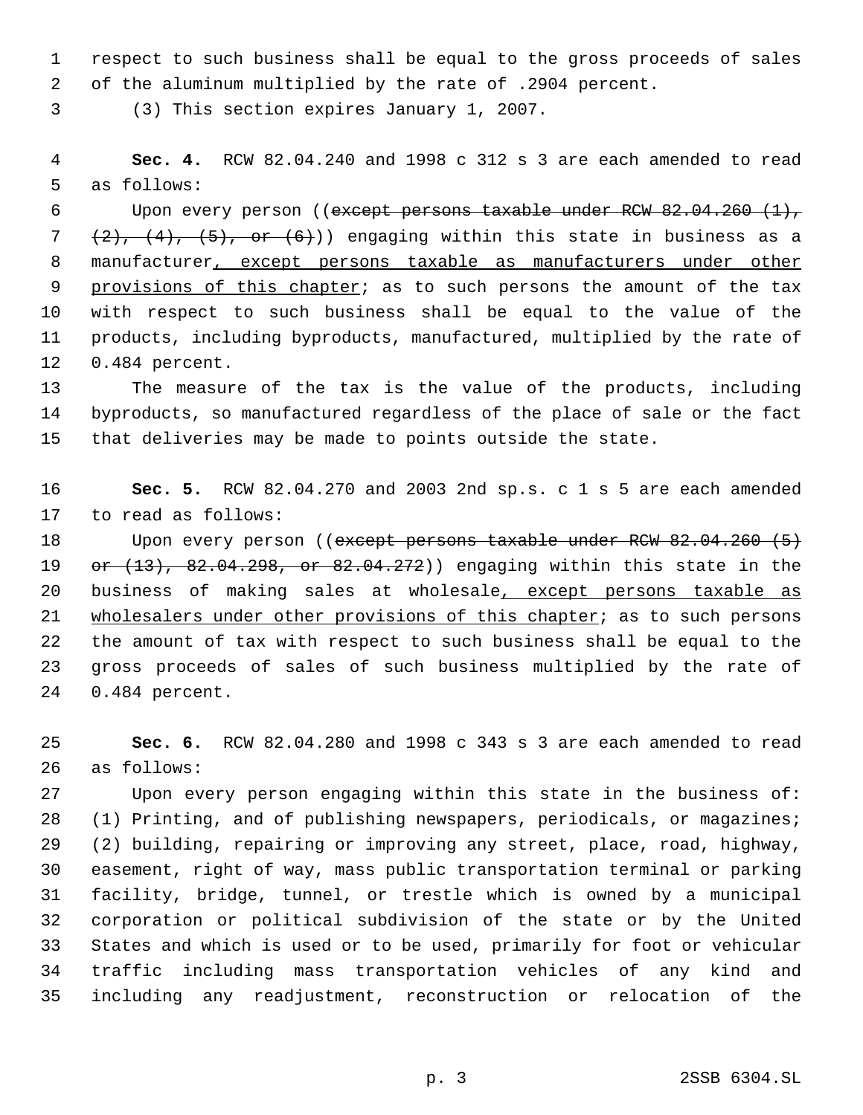respect to such business shall be equal to the gross proceeds of sales of the aluminum multiplied by the rate of .2904 percent.

(3) This section expires January 1, 2007.

 **Sec. 4.** RCW 82.04.240 and 1998 c 312 s 3 are each amended to read as follows:

6 Upon every person ((except persons taxable under RCW  $82.04.260$   $(1)$ , 7  $(2)$ ,  $(4)$ ,  $(5)$ , or  $(6)$ )) engaging within this state in business as a 8 manufacturer, except persons taxable as manufacturers under other 9 provisions of this chapter; as to such persons the amount of the tax with respect to such business shall be equal to the value of the products, including byproducts, manufactured, multiplied by the rate of 0.484 percent.

 The measure of the tax is the value of the products, including byproducts, so manufactured regardless of the place of sale or the fact that deliveries may be made to points outside the state.

 **Sec. 5.** RCW 82.04.270 and 2003 2nd sp.s. c 1 s 5 are each amended to read as follows:

18 Upon every person ((except persons taxable under RCW 82.04.260 (5) 19 or  $(13)$ , 82.04.298, or 82.04.272)) engaging within this state in the 20 business of making sales at wholesale, except persons taxable as 21 wholesalers under other provisions of this chapter; as to such persons the amount of tax with respect to such business shall be equal to the gross proceeds of sales of such business multiplied by the rate of 0.484 percent.

 **Sec. 6.** RCW 82.04.280 and 1998 c 343 s 3 are each amended to read as follows:

 Upon every person engaging within this state in the business of: (1) Printing, and of publishing newspapers, periodicals, or magazines; (2) building, repairing or improving any street, place, road, highway, easement, right of way, mass public transportation terminal or parking facility, bridge, tunnel, or trestle which is owned by a municipal corporation or political subdivision of the state or by the United States and which is used or to be used, primarily for foot or vehicular traffic including mass transportation vehicles of any kind and including any readjustment, reconstruction or relocation of the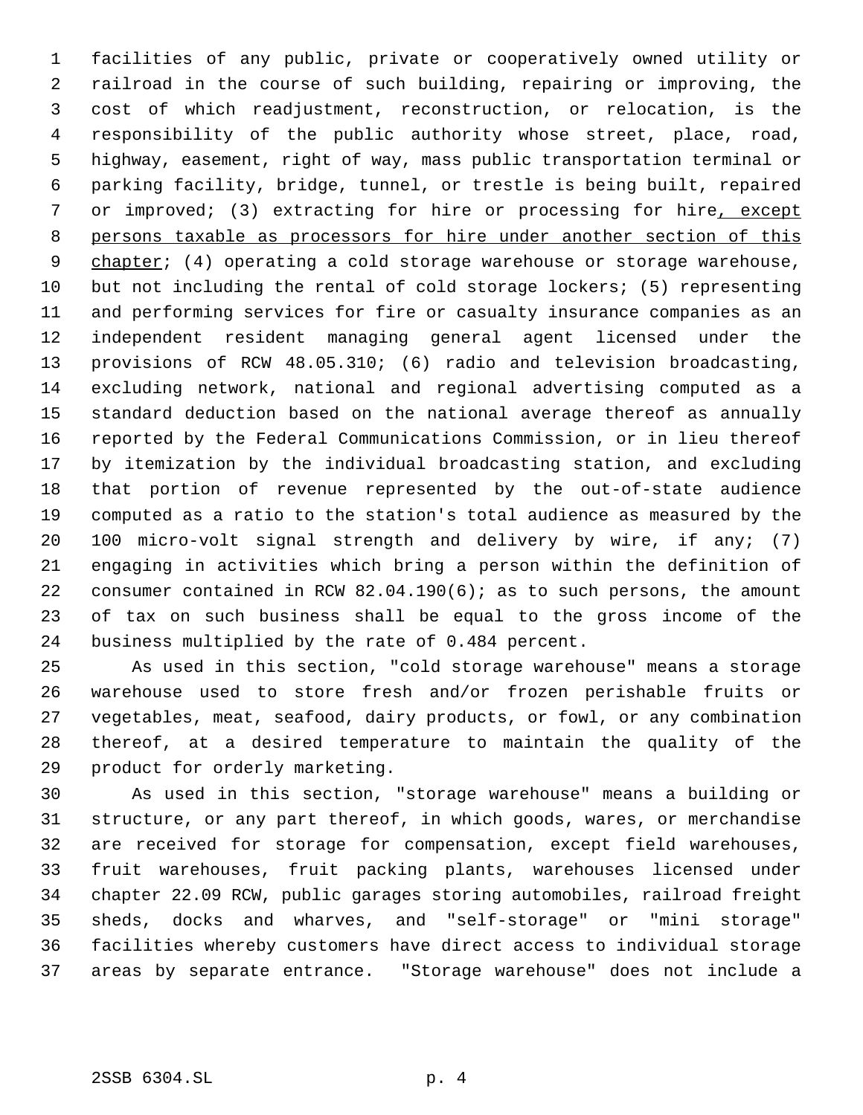facilities of any public, private or cooperatively owned utility or railroad in the course of such building, repairing or improving, the cost of which readjustment, reconstruction, or relocation, is the responsibility of the public authority whose street, place, road, highway, easement, right of way, mass public transportation terminal or parking facility, bridge, tunnel, or trestle is being built, repaired or improved; (3) extracting for hire or processing for hire, except persons taxable as processors for hire under another section of this 9 chapter; (4) operating a cold storage warehouse or storage warehouse, but not including the rental of cold storage lockers; (5) representing and performing services for fire or casualty insurance companies as an independent resident managing general agent licensed under the provisions of RCW 48.05.310; (6) radio and television broadcasting, excluding network, national and regional advertising computed as a standard deduction based on the national average thereof as annually reported by the Federal Communications Commission, or in lieu thereof by itemization by the individual broadcasting station, and excluding that portion of revenue represented by the out-of-state audience computed as a ratio to the station's total audience as measured by the 100 micro-volt signal strength and delivery by wire, if any; (7) engaging in activities which bring a person within the definition of consumer contained in RCW 82.04.190(6); as to such persons, the amount of tax on such business shall be equal to the gross income of the business multiplied by the rate of 0.484 percent.

 As used in this section, "cold storage warehouse" means a storage warehouse used to store fresh and/or frozen perishable fruits or vegetables, meat, seafood, dairy products, or fowl, or any combination thereof, at a desired temperature to maintain the quality of the product for orderly marketing.

 As used in this section, "storage warehouse" means a building or structure, or any part thereof, in which goods, wares, or merchandise are received for storage for compensation, except field warehouses, fruit warehouses, fruit packing plants, warehouses licensed under chapter 22.09 RCW, public garages storing automobiles, railroad freight sheds, docks and wharves, and "self-storage" or "mini storage" facilities whereby customers have direct access to individual storage areas by separate entrance. "Storage warehouse" does not include a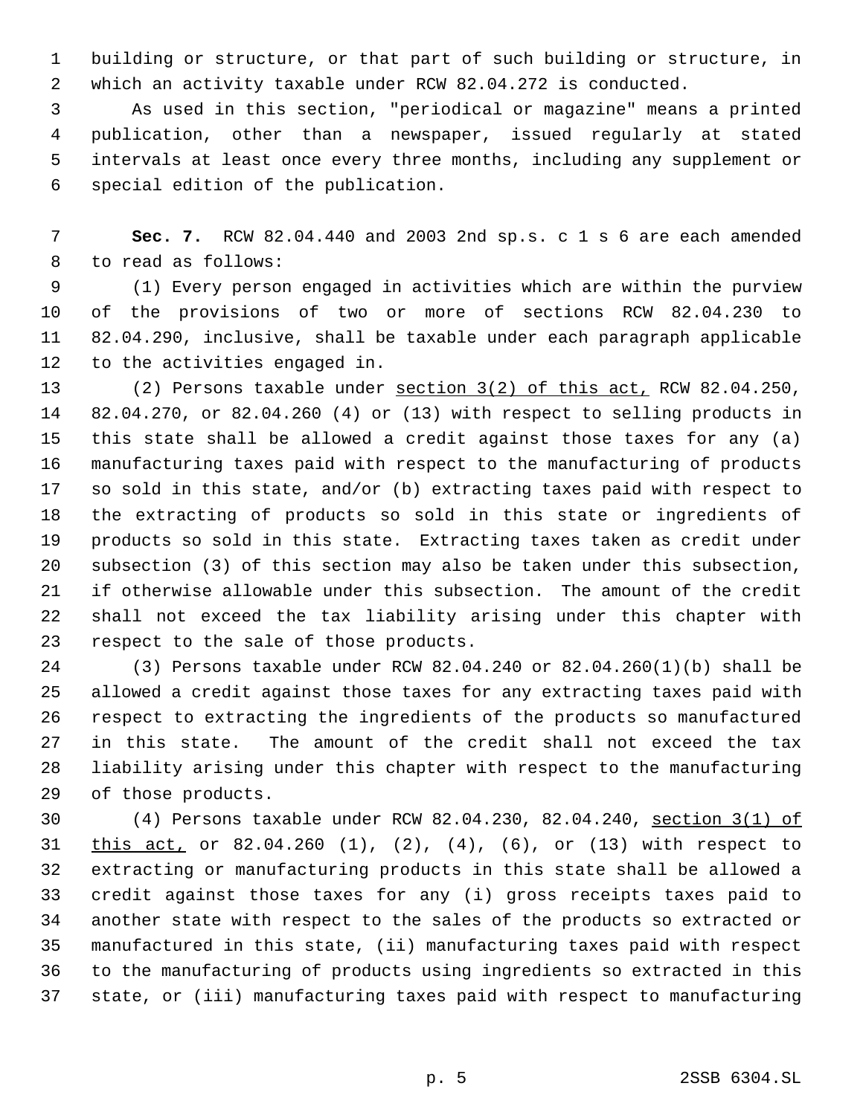building or structure, or that part of such building or structure, in which an activity taxable under RCW 82.04.272 is conducted.

 As used in this section, "periodical or magazine" means a printed publication, other than a newspaper, issued regularly at stated intervals at least once every three months, including any supplement or special edition of the publication.

 **Sec. 7.** RCW 82.04.440 and 2003 2nd sp.s. c 1 s 6 are each amended to read as follows:

 (1) Every person engaged in activities which are within the purview of the provisions of two or more of sections RCW 82.04.230 to 82.04.290, inclusive, shall be taxable under each paragraph applicable to the activities engaged in.

 (2) Persons taxable under section 3(2) of this act, RCW 82.04.250, 82.04.270, or 82.04.260 (4) or (13) with respect to selling products in this state shall be allowed a credit against those taxes for any (a) manufacturing taxes paid with respect to the manufacturing of products so sold in this state, and/or (b) extracting taxes paid with respect to the extracting of products so sold in this state or ingredients of products so sold in this state. Extracting taxes taken as credit under subsection (3) of this section may also be taken under this subsection, if otherwise allowable under this subsection. The amount of the credit shall not exceed the tax liability arising under this chapter with respect to the sale of those products.

 (3) Persons taxable under RCW 82.04.240 or 82.04.260(1)(b) shall be allowed a credit against those taxes for any extracting taxes paid with respect to extracting the ingredients of the products so manufactured in this state. The amount of the credit shall not exceed the tax liability arising under this chapter with respect to the manufacturing of those products.

 (4) Persons taxable under RCW 82.04.230, 82.04.240, section 3(1) of this act, or 82.04.260 (1), (2), (4), (6), or (13) with respect to extracting or manufacturing products in this state shall be allowed a credit against those taxes for any (i) gross receipts taxes paid to another state with respect to the sales of the products so extracted or manufactured in this state, (ii) manufacturing taxes paid with respect to the manufacturing of products using ingredients so extracted in this state, or (iii) manufacturing taxes paid with respect to manufacturing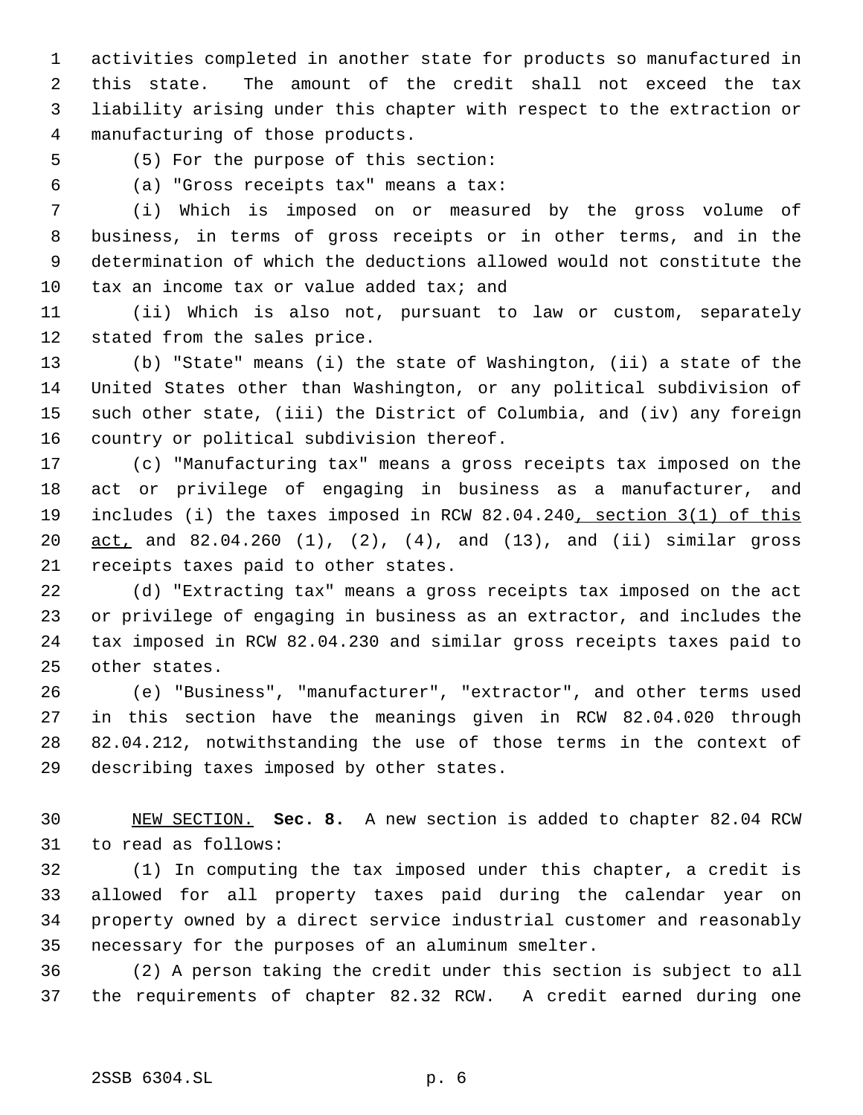activities completed in another state for products so manufactured in this state. The amount of the credit shall not exceed the tax liability arising under this chapter with respect to the extraction or manufacturing of those products.

(5) For the purpose of this section:

(a) "Gross receipts tax" means a tax:

 (i) Which is imposed on or measured by the gross volume of business, in terms of gross receipts or in other terms, and in the determination of which the deductions allowed would not constitute the 10 tax an income tax or value added tax; and

 (ii) Which is also not, pursuant to law or custom, separately stated from the sales price.

 (b) "State" means (i) the state of Washington, (ii) a state of the United States other than Washington, or any political subdivision of such other state, (iii) the District of Columbia, and (iv) any foreign country or political subdivision thereof.

 (c) "Manufacturing tax" means a gross receipts tax imposed on the act or privilege of engaging in business as a manufacturer, and 19 includes (i) the taxes imposed in RCW 82.04.240, section 3(1) of this  $act$ , and 82.04.260 (1), (2), (4), and (13), and (ii) similar gross</u> receipts taxes paid to other states.

 (d) "Extracting tax" means a gross receipts tax imposed on the act or privilege of engaging in business as an extractor, and includes the tax imposed in RCW 82.04.230 and similar gross receipts taxes paid to other states.

 (e) "Business", "manufacturer", "extractor", and other terms used in this section have the meanings given in RCW 82.04.020 through 82.04.212, notwithstanding the use of those terms in the context of describing taxes imposed by other states.

 NEW SECTION. **Sec. 8.** A new section is added to chapter 82.04 RCW to read as follows:

 (1) In computing the tax imposed under this chapter, a credit is allowed for all property taxes paid during the calendar year on property owned by a direct service industrial customer and reasonably necessary for the purposes of an aluminum smelter.

 (2) A person taking the credit under this section is subject to all the requirements of chapter 82.32 RCW. A credit earned during one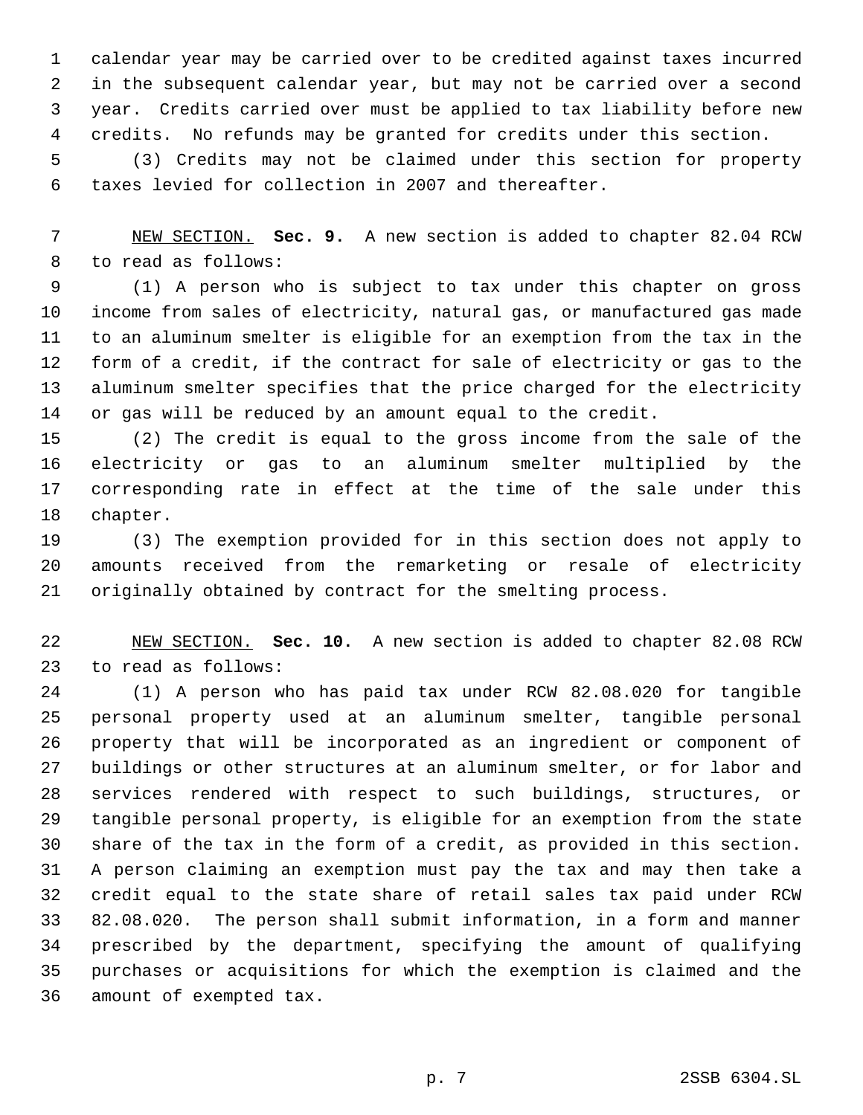calendar year may be carried over to be credited against taxes incurred in the subsequent calendar year, but may not be carried over a second year. Credits carried over must be applied to tax liability before new credits. No refunds may be granted for credits under this section.

 (3) Credits may not be claimed under this section for property taxes levied for collection in 2007 and thereafter.

 NEW SECTION. **Sec. 9.** A new section is added to chapter 82.04 RCW to read as follows:

 (1) A person who is subject to tax under this chapter on gross income from sales of electricity, natural gas, or manufactured gas made to an aluminum smelter is eligible for an exemption from the tax in the form of a credit, if the contract for sale of electricity or gas to the aluminum smelter specifies that the price charged for the electricity or gas will be reduced by an amount equal to the credit.

 (2) The credit is equal to the gross income from the sale of the electricity or gas to an aluminum smelter multiplied by the corresponding rate in effect at the time of the sale under this chapter.

 (3) The exemption provided for in this section does not apply to amounts received from the remarketing or resale of electricity originally obtained by contract for the smelting process.

 NEW SECTION. **Sec. 10.** A new section is added to chapter 82.08 RCW to read as follows:

 (1) A person who has paid tax under RCW 82.08.020 for tangible personal property used at an aluminum smelter, tangible personal property that will be incorporated as an ingredient or component of buildings or other structures at an aluminum smelter, or for labor and services rendered with respect to such buildings, structures, or tangible personal property, is eligible for an exemption from the state share of the tax in the form of a credit, as provided in this section. A person claiming an exemption must pay the tax and may then take a credit equal to the state share of retail sales tax paid under RCW 82.08.020. The person shall submit information, in a form and manner prescribed by the department, specifying the amount of qualifying purchases or acquisitions for which the exemption is claimed and the amount of exempted tax.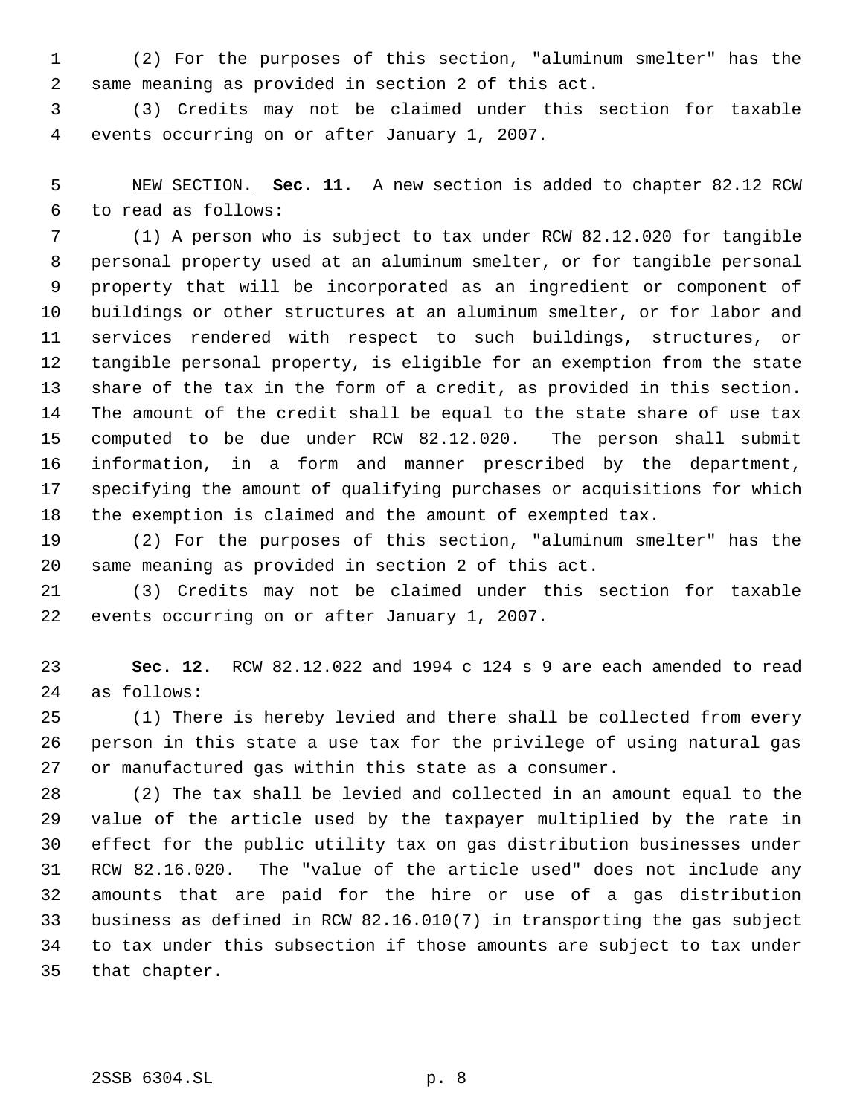(2) For the purposes of this section, "aluminum smelter" has the same meaning as provided in section 2 of this act.

 (3) Credits may not be claimed under this section for taxable events occurring on or after January 1, 2007.

 NEW SECTION. **Sec. 11.** A new section is added to chapter 82.12 RCW to read as follows:

 (1) A person who is subject to tax under RCW 82.12.020 for tangible personal property used at an aluminum smelter, or for tangible personal property that will be incorporated as an ingredient or component of buildings or other structures at an aluminum smelter, or for labor and services rendered with respect to such buildings, structures, or tangible personal property, is eligible for an exemption from the state share of the tax in the form of a credit, as provided in this section. The amount of the credit shall be equal to the state share of use tax computed to be due under RCW 82.12.020. The person shall submit information, in a form and manner prescribed by the department, specifying the amount of qualifying purchases or acquisitions for which the exemption is claimed and the amount of exempted tax.

 (2) For the purposes of this section, "aluminum smelter" has the same meaning as provided in section 2 of this act.

 (3) Credits may not be claimed under this section for taxable events occurring on or after January 1, 2007.

 **Sec. 12.** RCW 82.12.022 and 1994 c 124 s 9 are each amended to read as follows:

 (1) There is hereby levied and there shall be collected from every person in this state a use tax for the privilege of using natural gas or manufactured gas within this state as a consumer.

 (2) The tax shall be levied and collected in an amount equal to the value of the article used by the taxpayer multiplied by the rate in effect for the public utility tax on gas distribution businesses under RCW 82.16.020. The "value of the article used" does not include any amounts that are paid for the hire or use of a gas distribution business as defined in RCW 82.16.010(7) in transporting the gas subject to tax under this subsection if those amounts are subject to tax under that chapter.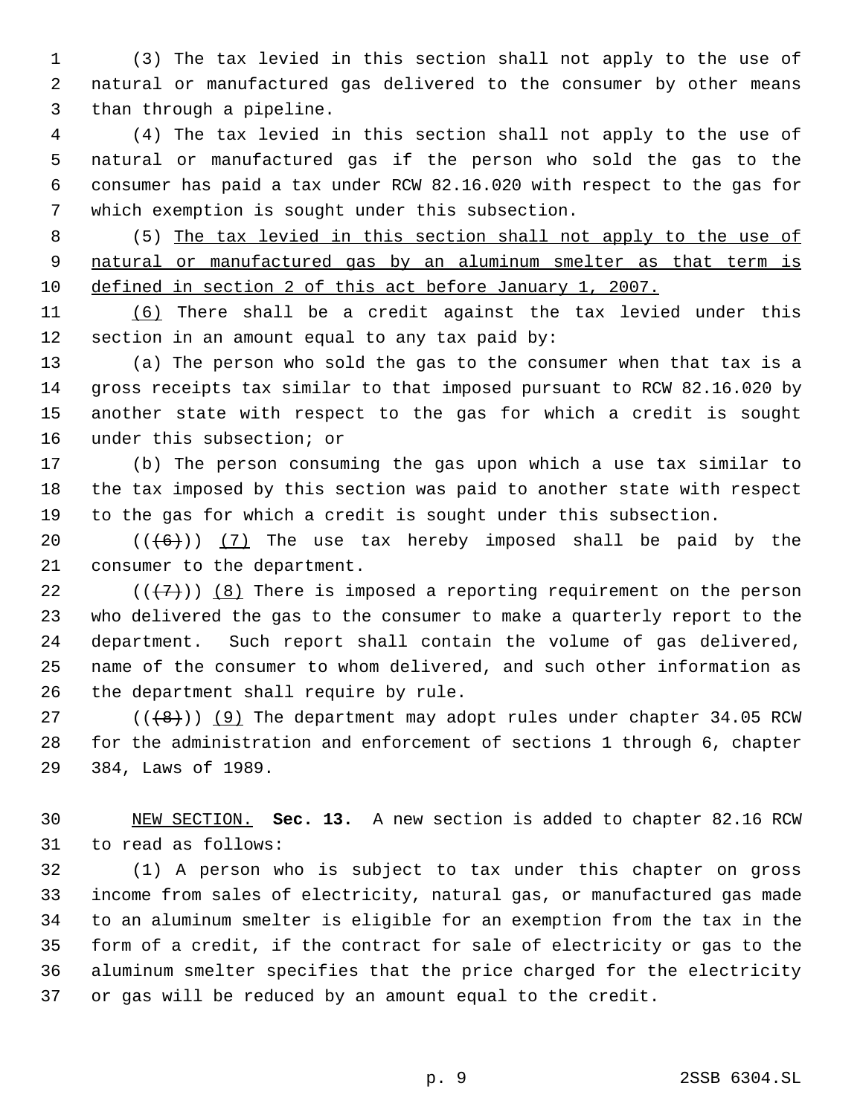(3) The tax levied in this section shall not apply to the use of natural or manufactured gas delivered to the consumer by other means than through a pipeline.

 (4) The tax levied in this section shall not apply to the use of natural or manufactured gas if the person who sold the gas to the consumer has paid a tax under RCW 82.16.020 with respect to the gas for which exemption is sought under this subsection.

 (5) The tax levied in this section shall not apply to the use of 9 natural or manufactured gas by an aluminum smelter as that term is defined in section 2 of this act before January 1, 2007.

 (6) There shall be a credit against the tax levied under this section in an amount equal to any tax paid by:

 (a) The person who sold the gas to the consumer when that tax is a gross receipts tax similar to that imposed pursuant to RCW 82.16.020 by another state with respect to the gas for which a credit is sought under this subsection; or

 (b) The person consuming the gas upon which a use tax similar to the tax imposed by this section was paid to another state with respect to the gas for which a credit is sought under this subsection.

20  $((+6))$   $(7)$  The use tax hereby imposed shall be paid by the consumer to the department.

 $((+7))$  (8) There is imposed a reporting requirement on the person who delivered the gas to the consumer to make a quarterly report to the department. Such report shall contain the volume of gas delivered, name of the consumer to whom delivered, and such other information as the department shall require by rule.

27 ( $(\langle 48 \rangle)$ ) (9) The department may adopt rules under chapter 34.05 RCW for the administration and enforcement of sections 1 through 6, chapter 384, Laws of 1989.

 NEW SECTION. **Sec. 13.** A new section is added to chapter 82.16 RCW to read as follows:

 (1) A person who is subject to tax under this chapter on gross income from sales of electricity, natural gas, or manufactured gas made to an aluminum smelter is eligible for an exemption from the tax in the form of a credit, if the contract for sale of electricity or gas to the aluminum smelter specifies that the price charged for the electricity or gas will be reduced by an amount equal to the credit.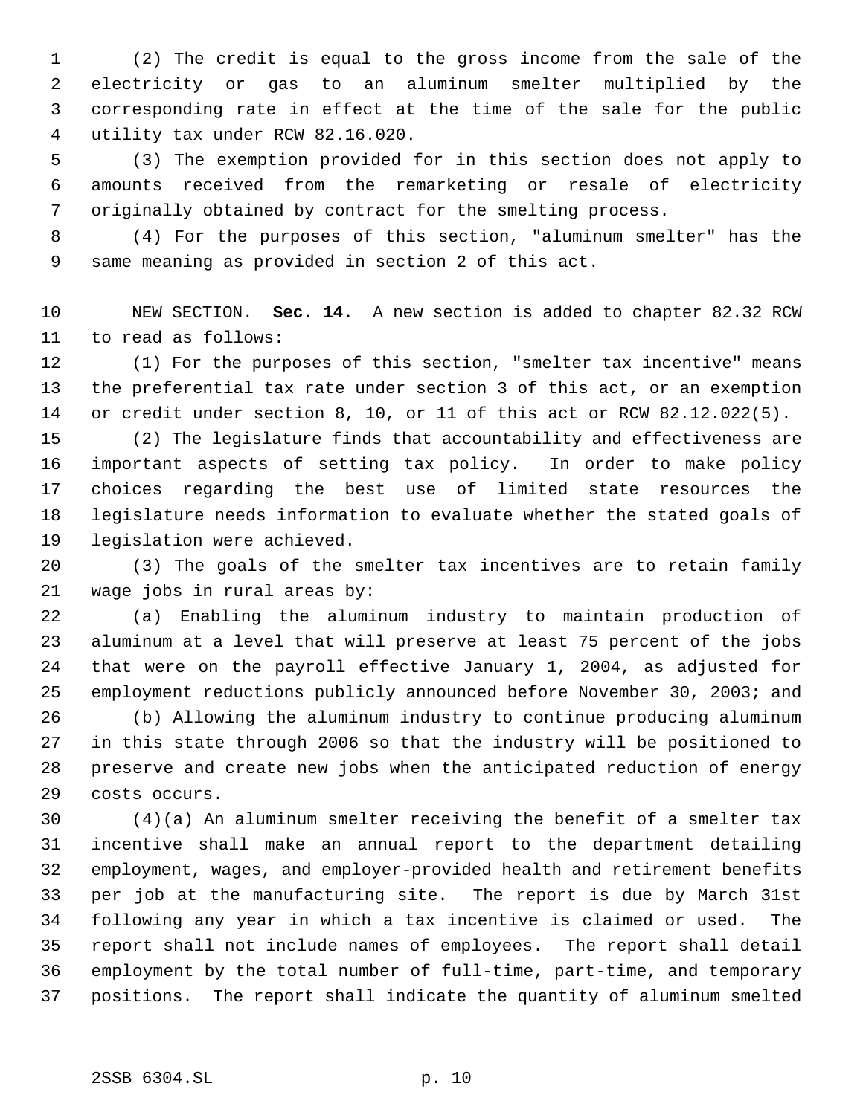(2) The credit is equal to the gross income from the sale of the electricity or gas to an aluminum smelter multiplied by the corresponding rate in effect at the time of the sale for the public utility tax under RCW 82.16.020.

 (3) The exemption provided for in this section does not apply to amounts received from the remarketing or resale of electricity originally obtained by contract for the smelting process.

 (4) For the purposes of this section, "aluminum smelter" has the same meaning as provided in section 2 of this act.

 NEW SECTION. **Sec. 14.** A new section is added to chapter 82.32 RCW to read as follows:

 (1) For the purposes of this section, "smelter tax incentive" means the preferential tax rate under section 3 of this act, or an exemption or credit under section 8, 10, or 11 of this act or RCW 82.12.022(5).

 (2) The legislature finds that accountability and effectiveness are important aspects of setting tax policy. In order to make policy choices regarding the best use of limited state resources the legislature needs information to evaluate whether the stated goals of legislation were achieved.

 (3) The goals of the smelter tax incentives are to retain family wage jobs in rural areas by:

 (a) Enabling the aluminum industry to maintain production of aluminum at a level that will preserve at least 75 percent of the jobs that were on the payroll effective January 1, 2004, as adjusted for employment reductions publicly announced before November 30, 2003; and

 (b) Allowing the aluminum industry to continue producing aluminum in this state through 2006 so that the industry will be positioned to preserve and create new jobs when the anticipated reduction of energy costs occurs.

 (4)(a) An aluminum smelter receiving the benefit of a smelter tax incentive shall make an annual report to the department detailing employment, wages, and employer-provided health and retirement benefits per job at the manufacturing site. The report is due by March 31st following any year in which a tax incentive is claimed or used. The report shall not include names of employees. The report shall detail employment by the total number of full-time, part-time, and temporary positions. The report shall indicate the quantity of aluminum smelted